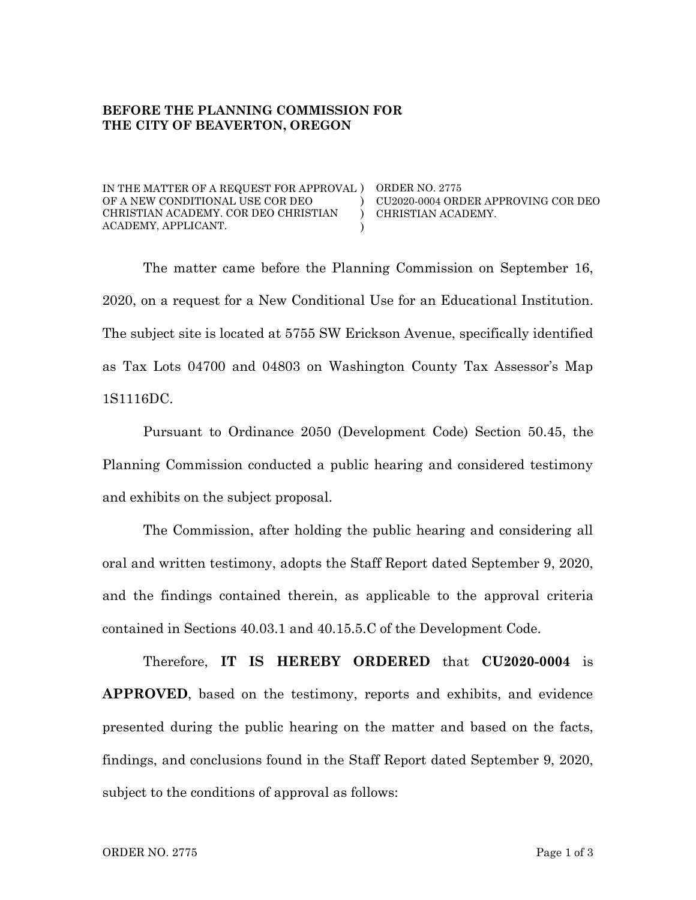#### **BEFORE THE PLANNING COMMISSION FOR THE CITY OF BEAVERTON, OREGON**

IN THE MATTER OF A REQUEST FOR APPROVAL ) ORDER NO. 2775 OF A NEW CONDITIONAL USE COR DEO CHRISTIAN ACADEMY. COR DEO CHRISTIAN ACADEMY, APPLICANT.

CU2020-0004 ORDER APPROVING COR DEO CHRISTIAN ACADEMY.

The matter came before the Planning Commission on September 16, 2020, on a request for a New Conditional Use for an Educational Institution. The subject site is located at 5755 SW Erickson Avenue, specifically identified as Tax Lots 04700 and 04803 on Washington County Tax Assessor's Map 1S1116DC.

)  $\mathcal{L}$ )

Pursuant to Ordinance 2050 (Development Code) Section 50.45, the Planning Commission conducted a public hearing and considered testimony and exhibits on the subject proposal.

The Commission, after holding the public hearing and considering all oral and written testimony, adopts the Staff Report dated September 9, 2020, and the findings contained therein, as applicable to the approval criteria contained in Sections 40.03.1 and 40.15.5.C of the Development Code.

Therefore, **IT IS HEREBY ORDERED** that **CU2020-0004** is **APPROVED**, based on the testimony, reports and exhibits, and evidence presented during the public hearing on the matter and based on the facts, findings, and conclusions found in the Staff Report dated September 9, 2020, subject to the conditions of approval as follows: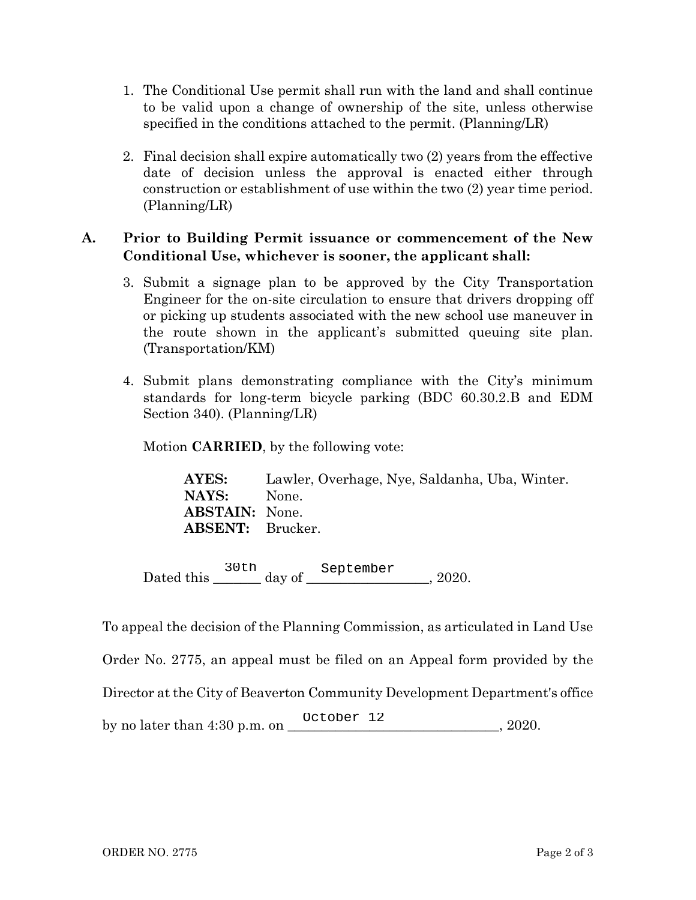- 1. The Conditional Use permit shall run with the land and shall continue to be valid upon a change of ownership of the site, unless otherwise specified in the conditions attached to the permit. (Planning/LR)
- 2. Final decision shall expire automatically two (2) years from the effective date of decision unless the approval is enacted either through construction or establishment of use within the two (2) year time period. (Planning/LR)

## **A. Prior to Building Permit issuance or commencement of the New Conditional Use, whichever is sooner, the applicant shall:**

- 3. Submit a signage plan to be approved by the City Transportation Engineer for the on-site circulation to ensure that drivers dropping off or picking up students associated with the new school use maneuver in the route shown in the applicant's submitted queuing site plan. (Transportation/KM)
- 4. Submit plans demonstrating compliance with the City's minimum standards for long-term bicycle parking (BDC 60.30.2.B and EDM Section 340). (Planning/LR)

Motion **CARRIED**, by the following vote:

**AYES:** Lawler, Overhage, Nye, Saldanha, Uba, Winter. **NAYS:** None. **ABSTAIN:** None. **ABSENT:** Brucker.

Dated this  $\frac{\log p}{\log q}$  day of  $\frac{\log p}{\log q}$ , 2020. 30th September

To appeal the decision of the Planning Commission, as articulated in Land Use Order No. 2775, an appeal must be filed on an Appeal form provided by the Director at the City of Beaverton Community Development Department's office by no later than 4:30 p.m. on \_\_\_\_\_\_\_\_\_\_\_\_\_\_\_\_\_\_\_\_\_\_\_\_\_\_\_\_\_\_\_, 2020. October 12